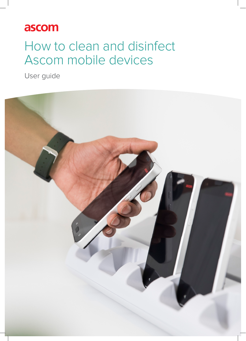# ascom

# How to clean and disinfect Ascom mobile devices

User guide

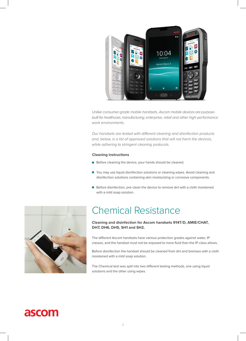

*Unlike consumer-grade mobile handsets, Ascom mobile devices are purposebuilt for healthcare, manufacturing, enterprise, retail and other high-performance work environments.* 

*Our handsets are tested with different cleaning and disinfection products and, below, is a list of approved solutions that will not harm the devices, while adhering to stringent cleaning protocols.*

#### **Cleaning instructions**

- Before cleaning the device, your hands should be cleaned.
- You may use liquid disinfection solutions or cleaning wipes. Avoid cleaning and disinfection solutions containing skin moisturizing or corrosive components.
- Before disinfection, pre-clean the device to remove dirt with a cloth moistened with a mild soap solution.



## Chemical Resistance

#### **Cleaning and disinfection for Ascom handsets 914T/D, AMIE/CHAT, DH7, DH6, DH5, SH1 and SH2.**

The different Ascom handsets have various protection grades against water, IP classes, and the handset must not be exposed to more fluid than the IP-class allows.

Before disinfection the handset should be cleaned from dirt and biomass with a cloth moistened with a mild soap solution.

The Chemical test was split into two different testing methods, one using liquid solutions and the other using wipes.

## ascom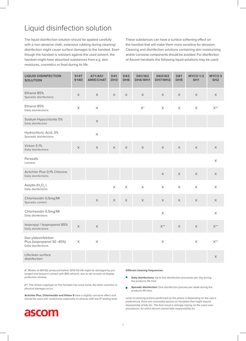### Liquid disinfection solution

The liquid disinfection solution should be applied carefully with a non-abrasive cloth, extensive rubbing during cleaning/ disinfection might cause surface damages to the handset. Even though the handset is resistant against the used solvent, the handset might have absorbed substances from e.g. skin moistures, cosmetics or food during its life.

These substances can have a surface softening effect on the handset that will make them more sensitive for abrasion. Cleaning and disinfection solutions containing skin moisturizing and/or corrosive components should be avoided. For disinfection of Ascom handsets the following liquid solutions may be used:

| <b>LIQUID DISINFECTION</b><br><b>SOLUTION</b>                            | <b>914T</b><br>914D       | A71/A51<br><b>AMIE/CHAT</b> | <b>D41</b><br>DH <sub>3</sub> | <b>D43</b><br>DH6     | D61/I62<br>DH4/WH1 | D63/I63<br>DH7/WH2 | <b>D81</b><br>DH <sub>5</sub> | <b>MYCO 1/2</b><br>SH <sub>1</sub> | MYCO <sub>3</sub><br>SH <sub>2</sub> |
|--------------------------------------------------------------------------|---------------------------|-----------------------------|-------------------------------|-----------------------|--------------------|--------------------|-------------------------------|------------------------------------|--------------------------------------|
| Ethanol 85%<br>Sporadic disinfections                                    | $\boldsymbol{\mathsf{X}}$ | $\mathsf X$                 | X                             | X                     | $\mathsf X$        | X                  | $\mathsf X$                   | $\mathsf X$                        | X                                    |
| Ethanol 85%<br>Daily disinfections                                       | $\mathsf X$               | $\mathsf X$                 |                               |                       | $\mathsf{X}^*$     | $\mathsf X$        | $\mathsf X$                   | $\mathsf X$                        | $X^{**}$                             |
| Sodium Hypochlorite 5%<br>Daily disinfection                             |                           | $\mathsf X$                 |                               |                       |                    |                    |                               |                                    |                                      |
| Hydrochloric Acid, 3%<br>Sporadic disinfections                          |                           | $\mathsf X$                 |                               |                       |                    |                    |                               |                                    |                                      |
| Virkon S 1%<br>Daily disinfections                                       | X                         | $\mathsf X$                 | X                             | $\mathsf X$           | $\mathsf X$        | $\mathsf X$        | $\mathsf X$                   | $\mathsf X$                        | $\mathsf X$                          |
| Perasafe<br>Lanxess                                                      |                           |                             |                               |                       |                    |                    |                               |                                    | $\mathsf X$                          |
| Actichlor Plus 0,1% Chlorine<br>Daily disinfections                      |                           |                             |                               |                       |                    | $\mathsf X$        | $\mathsf X$                   | $\mathsf X$                        | $\mathsf X$                          |
| Aseptix $(H_2O_2)$<br>Daily disinfections                                |                           |                             | $\mathsf X$                   | $\mathsf X$           | $\mathsf X$        | $\mathsf X$        | $\mathsf X$                   | $\mathsf X$                        | $\mathsf X$                          |
| Chlorhexidin 0,5mg/Ml<br>Sporadic contact                                |                           | $\mathsf X$                 | $\mathsf X$                   | $\boldsymbol{\times}$ | $\mathsf X$        | $\mathsf X$        | $\mathsf X$                   | $\mathsf X$                        | $\times$                             |
| Chlorhexidin 0,5mg/Ml<br>Daily disinfections                             |                           |                             |                               |                       |                    | $\mathsf X$        |                               |                                    | $\mathsf X$                          |
| Isopropyl / Isopropanol 85%<br>Daily disinfections                       | $\mathsf X$               | $\mathsf X$                 |                               |                       |                    | $X^{**}$           | $\mathsf X$                   | $\mathsf X$                        | $\mathsf{X}^{**}$                    |
| Dax ytdesinfektion<br>Plus (isopropanol 30 - 45%)<br>Daily disinfections | $\boldsymbol{\mathsf{X}}$ | $\mathsf X$                 |                               |                       |                    | $\mathsf X$        |                               | $\mathsf X$                        | $X^{**}$                             |
| Lifeclean surface<br>disinfection                                        |                           |                             |                               |                       |                    |                    |                               |                                    | $\mathsf X$                          |

**x\***, Modes of d61/i62 produced before 2013-02-06 might be damaged by prolonged and frequent contact with 85% ethanol, due to old revision of display protection window.

**x\*\***, The sticker Logotype on the handset clip come loose. No other cosmetic or physical damages occur.

**Actichlor Plus, Chlorhexidin and Virkon S** have a slightly corrosive effect and should be used with carefulness especially on phones with low IP sealing level.



#### **Different cleaning frequencies:**

- **Daily disinfections:** Up to five disinfection processes per day during the products life time.
- **Sporadic disinfection:** One disinfection process per week during the Ħ products life time.

*Level of cleaning actions performed on the phone is depending on the user's preferences, there are concealed spaces on handsets that might require disassembly of lids etc. The final result is strongly relying on the users own procedures, for which Ascom cannot take responsibility for.*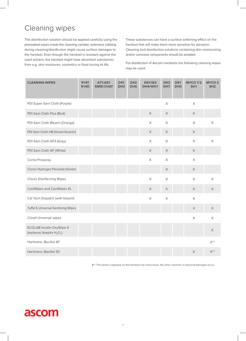### Cleaning wipes

The disinfection solution should be applied carefully using the presoaked wipes inside the cleaning canister, extensive rubbing during cleaning/disinfection might cause surface damages to the handset. Even though the handset is resistant against the used solvent, the handset might have absorbed substances from e.g. skin moistures, cosmetics or food during its life.

These substances can have a surface softening effect on the handset that will make them more sensitive for abrasion. Cleaning and disinfection solutions containing skin moisturizing and/or corrosive components should be avoided.

For disinfection of Ascom handsets the following cleaning wipes may be used:

| <b>CLEANING WIPES</b>                                           | <b>914T</b><br>914D | A71/A51<br><b>AMIE/CHAT</b> | <b>D41</b><br>DH <sub>3</sub> | <b>D43</b><br>DH <sub>6</sub> | D61/I62<br>DH4/WH1 | <b>D63</b><br>DH <sub>7</sub> | <b>D81</b><br>DH <sub>5</sub> | <b>MYCO 1/2</b><br>SH <sub>1</sub> | MYCO <sub>3</sub><br>SH <sub>2</sub> |
|-----------------------------------------------------------------|---------------------|-----------------------------|-------------------------------|-------------------------------|--------------------|-------------------------------|-------------------------------|------------------------------------|--------------------------------------|
| PDI Super Sani-Cloth (Purple)                                   |                     |                             |                               |                               |                    | $\mathsf X$                   |                               | $\mathsf X$                        |                                      |
| PDI Sani-Cloth Plus (Red)                                       |                     |                             |                               |                               | $\mathsf X$        | $\mathsf X$                   |                               | $\mathsf X$                        |                                      |
| PDI Sani-Cloth Bleach (Orange)                                  |                     |                             |                               |                               | $\times$           | $\times$                      |                               | $\times$                           | $\times$                             |
| PDI Sani-Cloth HB (Green/blueish)                               |                     |                             |                               |                               | $\times$           | $\times$                      |                               | $\mathsf X$                        |                                      |
| PDI Sani-Cloth AF3 (Gray)                                       |                     |                             |                               |                               | $\times$           | $\times$                      |                               | $\mathsf X$                        | $\times$                             |
| PDI Sani-Cloth AF (White)                                       |                     |                             |                               |                               | $\mathsf X$        | $\times$                      |                               | $\mathsf X$                        |                                      |
| Certol Prospray                                                 |                     |                             |                               |                               | $\mathsf X$        | $\mathsf X$                   |                               | $\mathsf X$                        |                                      |
| Clorox Hydrogen Peroxide (Green)                                |                     |                             |                               |                               |                    | $\times$                      |                               | $\mathsf X$                        |                                      |
| <b>Clorox Disinfecting Wipes</b>                                |                     |                             |                               |                               | $\times$           | $\times$                      |                               | $\mathsf X$                        | $\times$                             |
| CaviWipes and CaviWipes XL                                      |                     |                             |                               |                               | $\mathsf X$        | $\times$                      |                               | $\mathsf X$                        | $\mathsf X$                          |
| Cal Tech Dispatch (with bleach)                                 |                     |                             |                               |                               | $\times$           | $\mathsf X$                   |                               | $\mathsf X$                        |                                      |
| Tuffie 5 Universal Sanitising Wipes                             |                     |                             |                               |                               |                    |                               |                               | $\mathsf X$                        | $\mathsf X$                          |
| <b>Clinell Universal wipes</b>                                  |                     |                             |                               |                               |                    |                               |                               | $\mathsf X$                        | $\times$                             |
| <b>ECOLAB Incidin OxyWipe-S</b><br>(replaces Aseptix $H_2O_2$ ) |                     |                             |                               |                               |                    |                               |                               |                                    | $\mathsf X$                          |
| Hartmann, Bacillol AF                                           |                     |                             |                               |                               |                    |                               |                               |                                    | $\mathsf{X}^{**}$                    |
| Hartmann, Bacillol 30                                           |                     |                             |                               |                               |                    |                               |                               | $\mathsf X$                        | $X^{**}$                             |

**x\*\***, The sticker Logotype on the handset clip come loose. No other cosmetic or physical damages occur.